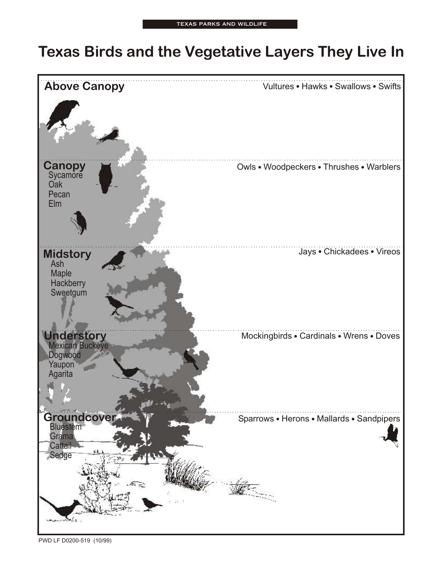## **Texas Birds and the Vegetative Layers They Live In**



PWD LF D0200-519 (10/99)